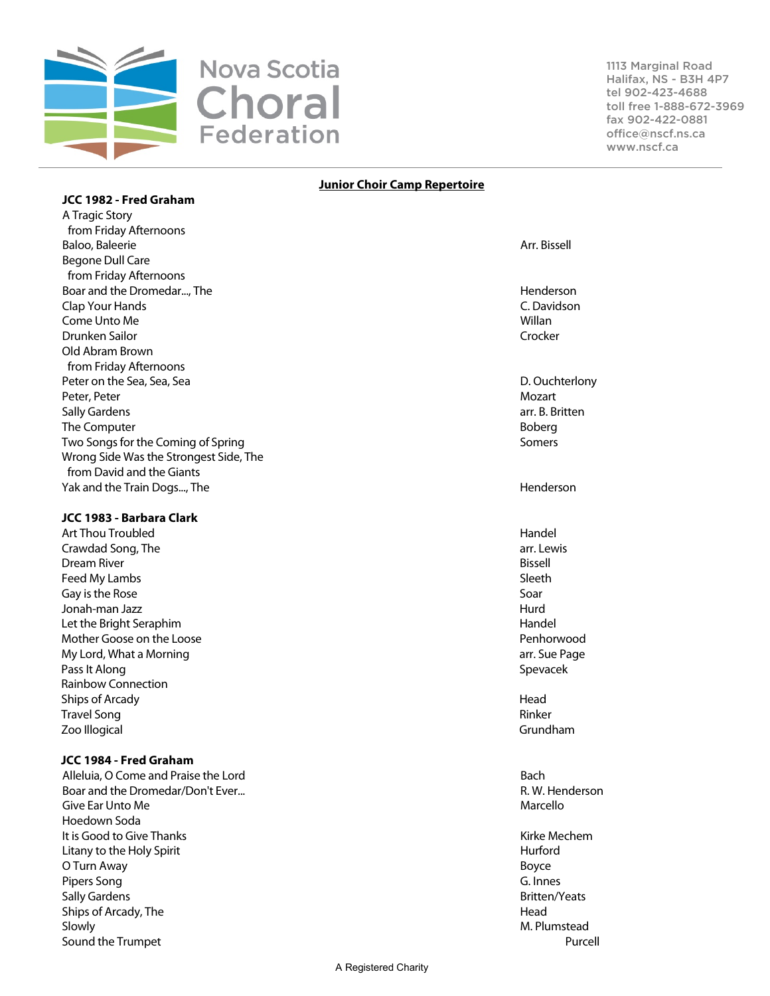

1113 Marginal Road Halifax, NS - B3H 4P7 tel 902-423-4688 toll free 1-888-672-3969 fax 902-422-0881 office@nscf.ns.ca www.nscf.ca

#### **Junior Choir Camp Repertoire**

## A Tragic Story from Friday Afternoons Baloo, Baleerie Arr. Bissell and the Second Community of the Second Community of the Arr. Bissell and the Arr. Bissell Begone Dull Care from Friday Afternoons Boar and the Dromedar..., The Henderson South Assembly and the Dromedar..., The Henderson Clap Your Hands C. Davidson Come Unto Me Willan Drunken Sailor Crocker Old Abram Brown from Friday Afternoons Peter on the Sea, Sea, Sea D. Ouchterlony Peter, Peter Mozart (1999) and the extent of the extent of the extent of the extent of the extent of the extent of the extent of the extent of the extent of the extent of the extent of the extent of the extent of the exten Sally Gardens arr. B. Britten The Computer and the Computer Boberg and the Computer and the Computer and the Computer and the Boberg and the Boberg Two Songs for the Coming of Spring Somers Somers Somers Somers Somers Somers Somers Somers Somers Somers Somers Wrong Side Was the Strongest Side, The from David and the Giants Yak and the Train Dogs..., The Henderson States and the Henderson States and the Henderson

# **JCC 1983 - Barbara Clark**

**JCC 1982 - Fred Graham**

Art Thou Troubled **Handel** Handel Handel Handel Handel Handel Handel Handel Handel Handel Handel Handel Handel Crawdad Song, The arr. Lewis Dream River Bissell Feed My Lambs Sleeth Gay is the Rose Soar Jonah-man Jazz Hurd Let the Bright Seraphim **Handel** Mother Goose on the Loose **Penhorwood** Penhorwood My Lord, What a Morning arr. Sue Page arr. Sue Page arr. Sue Page arr. Sue Page arr. Sue Page arr. Sue Page arr Pass It Along Spevacek and the set of the set of the set of the set of the set of the set of the set of the set of the set of the set of the set of the set of the set of the set of the set of the set of the set of the set Rainbow Connection Ships of Arcady **Head Travel Song Rinker** Rinker Rinker Rinker Rinker Rinker Rinker Rinker Rinker Rinker Rinker Zoo Illogical Grundham

## **JCC 1984 - Fred Graham**

Alleluia, O Come and Praise the Lord Bach Boar and the Dromedar/Don't Ever... Compared the Unit of the Second State of the R. W. Henderson Give Ear Unto Me **Marcello** and the Marcello entity of the Marcello entity of the Marcello entity of the Marcello Hoedown Soda It is Good to Give Thanks **Kirke Mechem Kirke Mechem** Litany to the Holy Spirit **Hurford** Hurford **Hurford** Hurford Hurford **Hurford** Hurford Hurford Hurford Hurford Hurford Hurford Hurford Hurford Hurford Hurford Hurford Hurford Hurford Hurford Hurford Hurford Hurford Hurfor O Turn Away Boyce Pipers Song G. Innes Sally Gardens **Britten/Yeats Britten/Yeats** Ships of Arcady, The **Head** Slowly **M. Plumstead** Sound the Trumpet **Purcell**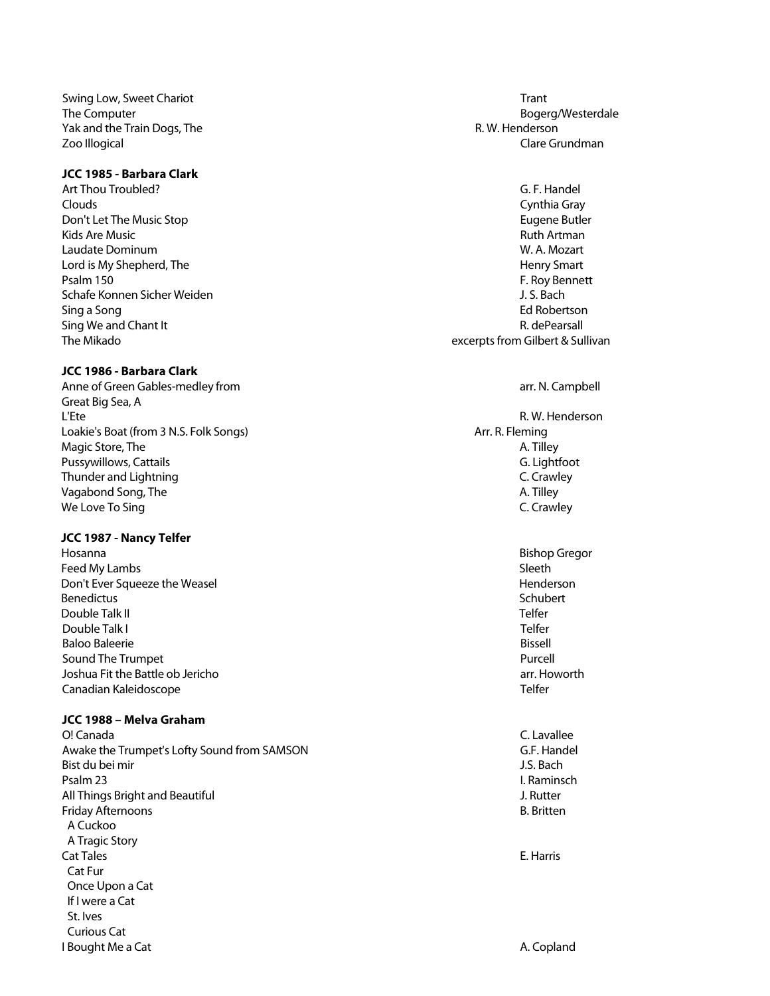Swing Low, Sweet Chariot Trant Trant Chariot Transaction of the United States of Trant Trant Yak and the Train Dogs, The R. W. Henderson Control of the R. W. Henderson Zoo Illogical Clare Grundman

## **JCC 1985 - Barbara Clark**

Art Thou Troubled? G. F. Handel Clouds Cynthia Gray Don't Let The Music Stop Eugene Butler (1998) and the Unit of Stop Eugene Butler (1998) and the Eugene Butler<br>Rids Are Music Controllers (1999) and the Eugene Butler (1999) and the Eugene Butler (1999) and the Eugene But Kids Are Music Laudate Dominum W. A. Mozart Lord is My Shepherd, The New York 1980 and the Henry Smart Peak of the Henry Smart Peak of the Henry Smart Peak of the Henry Smart Peak of the Henry Smart Peak of the Henry Smart Peak of the Henry Smart Peak of the Henry S Schafe Konnen Sicher Weiden J. S. Bach Sing a Song Ed Robertson (1999) and the state of the state of the state of the state of the state of the state of the state of the state of the state of the state of the state of the state of the state of the state of the Sing We and Chant It **Research Internally and Chant It** R. dePearsall The Mikado **Excerpts from Gilbert & Sullivan** 

## **JCC 1986 - Barbara Clark**

Anne of Green Gables-medley from and the state of Green Annual Control of Green Annual Control of Green Annual Control of Green Annual Control of Green Annual Control of Green Annual Control of Green Annual Control of Gree Great Big Sea, A L'Ete R. W. Henderson Loakie's Boat (from 3 N.S. Folk Songs) Arr. R. Fleming Magic Store, The A. Tilley and A. Tilley and A. Tilley and A. Tilley and A. Tilley Pussywillows, Cattails G. Lightfoot C. Lightfoot C. Lightfoot C. Lightfoot C. Lightfoot C. Crawley Thunder and Lightning Vagabond Song, The A. Tilley and A. Tilley and A. Tilley and A. Tilley and A. Tilley We Love To Sing Contract the Contract of the Contract of Contract of C. Crawley

## **JCC 1987 - Nancy Telfer**

Hosanna Bishop Gregor Feed My Lambs Sleeth and the Sleeth Sleeth states and the Sleeth Sleeth Sleeth Sleeth Sleeth Sleeth Sleeth Sleeth Don't Ever Squeeze the Weasel **Henderson Henderson** Benedictus Schubert (1999) and the set of the set of the set of the set of the set of the set of the set of th Double Talk II Telfer Double Talk I Telfer Baloo Baleerie Bissell and the Bissell and the Bissell and the Bissell and the Bissell and the Bissell and the Bissell Sound The Trumpet **Purcell** Joshua Fit the Battle ob Jericho arr. Howorth Canadian Kaleidoscope Telfer

# **JCC 1988 – Melva Graham**

O! Canada C. Lavallee Awake the Trumpet's Lofty Sound from SAMSON G.F. Handel Bist du bei mir J.S. Bach Psalm 23 I. Raminsch All Things Bright and Beautiful **J. Rutter** J. Rutter Friday Afternoons B. Britten A Cuckoo A Tragic Story Cat Tales E. Harris Cat Fur Once Upon a Cat If I were a Cat St. Ives Curious Cat I Bought Me a Cat A. Copland Case A. Copland Case A. Copland Case A. Copland Case A. Copland

The Computer and the Computer and the Computer and the Computer and the Computer and the Computer and the Computer and the Computer and the Computer and the Computer and the Computer and the Computer and the Computer and t

F. Roy Bennett

- 
-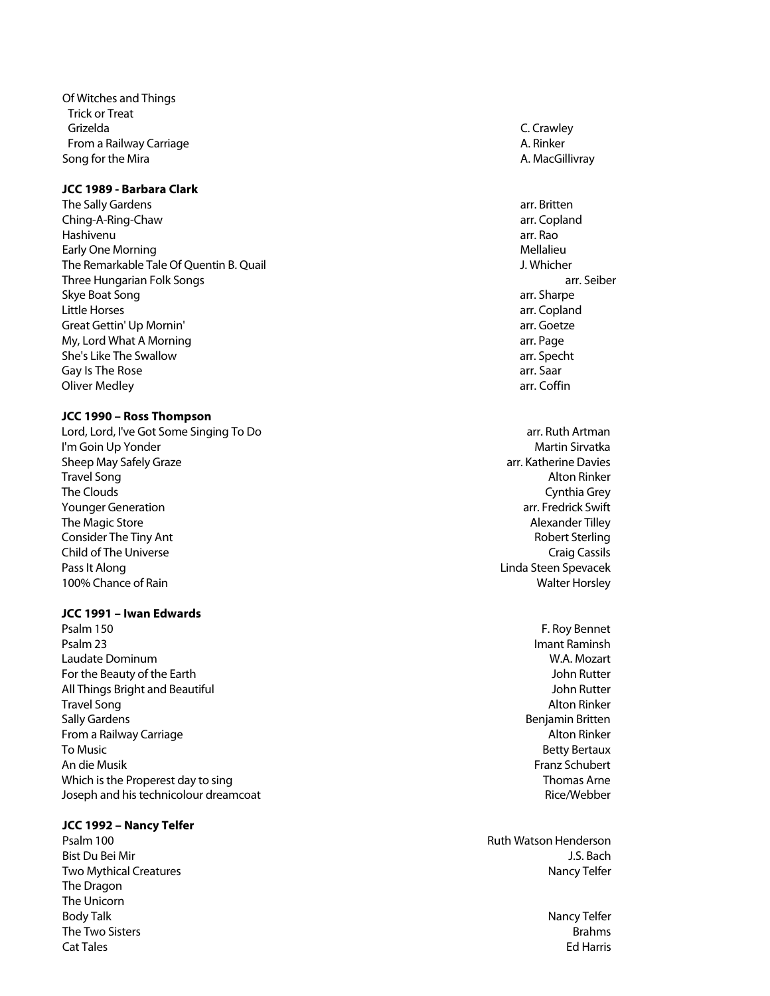Of Witches and Things Trick or Treat Grizelda C. Crawley From a Railway Carriage **A. Rinker** A. Rinker Song for the Mira **A. MacGillivray** A. MacGillivray

#### **JCC 1989 - Barbara Clark**

The Sally Gardens arrangement of the Sally Gardens arrangement of the Sally Gardens arrangement of the Sally Gardens arrangement of the Sally Gardens arrangement of the Sally Gardens arrangement of the Sally Gardens arrang Ching - A -Ring Hashivenu arr. Rao Early One Morning<br>
The Remarkable Tale Of Ouentin B. Quail<br>
The Remarkable Tale Of Ouentin B. Quail The Remarkable Tale Of Quentin B. Quail Three Hungarian Folk Songs arr. Seiber Skye Boat Song arr. Sharpe arr. Sharpe arr. Sharpe arr. Sharpe arr. Sharpe arr. Sharpe arr. Sharpe arr. Sharpe Little Horses arr. Copland Great Gettin' Up Mornin' and the control of the control of the control of the control of the control of the control of the control of the control of the control of the control of the control of the control of the control o My, Lord What A Morning arrangement and the state of the state of the state of the state of the state of the state of the state of the state of the state of the state of the state of the state of the state of the state of She's Like The Swallow arr. Specht Gay Is The Rose arr. Saar arr. Saar arr. Saar arr. Saar arr. Saar arr. Saar arr. Saar arr. Saar arr. Saar arr. Saar Oliver Medley **arrival and the Coronal Act of the Coronal Act of the Coronal Act of the Coronal Act of the Coronal Act of the Coronal Act of the Coronal Act of the Coronal Act of the Coronal Act of the Coronal Act of the C** 

#### **JCC 1990 – Ross Thompson**

Lord, Lord, I've Got Some Singing To Do arr. Ruth Artman and Dominic Italy and Singing To Do arr. Ruth Artman<br>I'm Goin Up Yonder I'm Goin Up Yonder Sheep May Safely Graze arr. Katherine Davies arr. Katherine Davies arr. Katherine Davies arr. Katherine Davies<br>Travel Song arr. Alton Rinker Travel Song Alton Rinker The Clouds **Cynthia Grey** Younger Generation arr. Fredrick Swift The Magic Store Alexander Tilley and the Magic Store Alexander Tilley and the Magic Store Alexander Tilley **Consider The Tiny Ant Construction Consider The Tiny Anti-Child of The Universe** Craig Cassils **Craig Cassils** Craig Cassils **Craig Cassils** Pass It Along **Linda Steen Spevacek Pass It Along** 100% Chance of Rain Walter Horsley

#### **JCC 1991 – Iwan Edwards**

Psalm 150 F. Roy Bennet Psalm 23 Imant Raminsh **Psalm 23** Laudate Dominum W.A. Mozart For the Beauty of the Earth John Rutter All Things Bright and Beautiful John Rutter Travel Song Alton Rinker Sally Gardens Benjamin Britten From a Railway Carriage Alton Rinker Alton Rinker Alton Rinker Alton Rinker Alton Rinker To Music Betty Bertaux An die Musik Franz Schubert Which is the Properest day to sing Thomas Arne Thomas Arne Thomas Arne Thomas Arne Thomas Arne Thomas Arne Thomas Arne Thomas Arne Thomas Arne Thomas Arne Thomas Arne Thomas Arne Thomas Arne Thomas Arne Thomas Arne Thomas Joseph and his technicolour dreamcoat Rice/Webber

#### **JCC 1992 – Nancy Telfer**

The Dragon The Unicorn Body Talk Nancy Telfer The Two Sisters and the Two Sisters Brahms and the Two Sisters are the Two Sisters and the Two Sisters are the Two Sisters and the Two Sisters are the Two Sisters and the Two Sisters are the Two Sisters and the Two Sisters Cat Tales Ed Harris

arr. Copland

Psalm 100 **Ruth Watson Henderson** Ruth Watson Henderson Bist Du Bei Mir J.S. Bach Two Mythical Creatures **Nancy Telfer** Nancy Telfer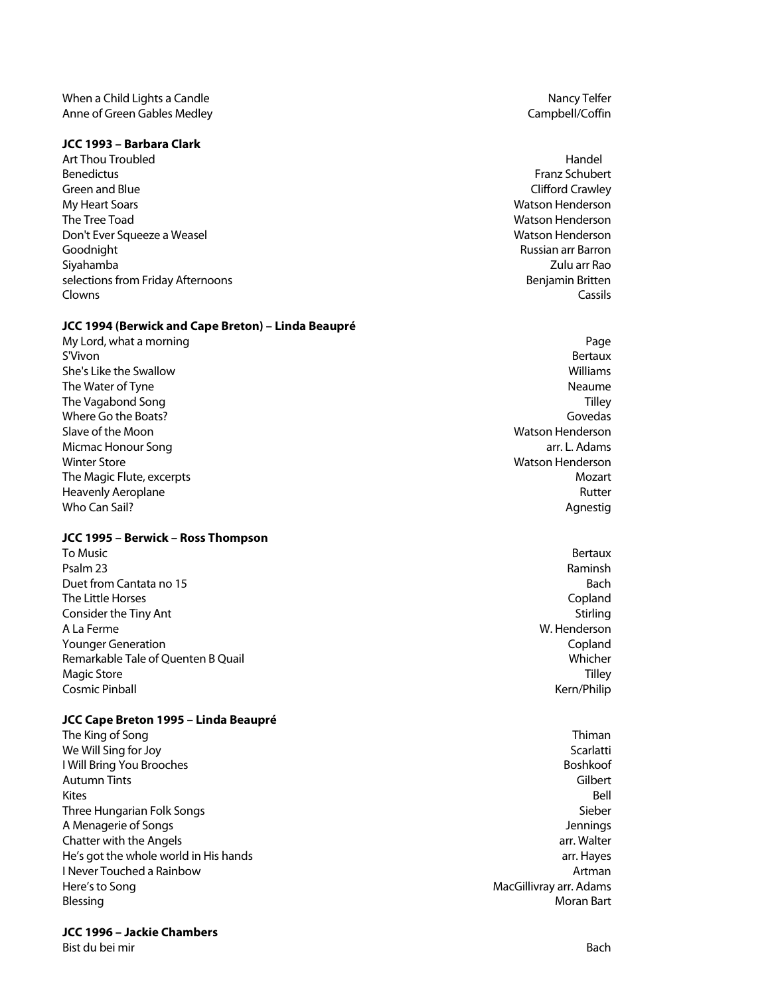#### **JCC 1993 – Barbara Clark**

Art Thou Troubled Handel (1999) Handel (1999) Handel (1999) Handel (1999) Handel (1999) Handel (1999) Handel (<br>Handel Benedictus Green and Blue Clifford Crawley Clifford Crawley Clifford Crawley My Heart Soars Watson Henderson The Tree Toad Watson Henderson Don't Ever Squeeze a Weasel Watson Henderson Goodnight Russian arr Barron Siyahamba Zulu arr Rao selections from Friday Afternoons **Benjamin Britten** Benjamin Britten Clowns Cassils

## **JCC 1994 (Berwick and Cape Breton) – Linda Beaupré**

My Lord, what a morning Page and the control of the control of the control of the control of the control of the control of the control of the control of the control of the control of the control of the control of the contr S'Vivon de la construction de la construction de la construction de la construction de la construction de la co She's Like the Swallow Williams The Water of Tyne Neaume Near Albert Control of Tyne Neaume Near Albert Control of Tyne Neaume Near Albert Control of Tyne Near Albert Control of Tyne Near Albert Control of Tyne Albert Control of Tyne Albert Control of Ty The Vagabond Song Tilley and Tilley and Tilley and Tilley and Tilley and Tilley and Tilley and Tilley and Tilley Where Go the Boats? Govedas and the Boats? Slave of the Moon Watson Henderson Micmac Honour Song arr. L. Adams Winter Store **Music Construction Construction Construction** Construction Construction Construction Construction<br>The Magic Flute, excerpts **Music Construction** Construction Construction Construction Construction Constructio The Magic Flute, excerpts Heavenly Aeroplane Rutter Who Can Sail? **Agnestig Agnestig Agnestig Agnestig Agnestig** 

## **JCC 1995 – Berwick – Ross Thompson**

To Music Bertaux Psalm 23 Raminsh Duet from Cantata no 15 Bach and the control of the control of the control of the control of the control of the control of the control of the control of the control of the control of the control of the control of the contr The Little Horses Copland Consider the Tiny Ant Stirling and Stirling and Stirling and Stirling and Stirling and Stirling and Stirling and Stirling and Stirling and Stirling and Stirling and Stirling and Stirling and Stirling and Stirling and Stirl A La Ferme W. Henderson Younger Generation Copland Remarkable Tale of Quenten B Quail Whicher Magic Store Tilley Cosmic Pinball Kern/Philip

## **JCC Cape Breton 1995 – Linda Beaupré**

The King of Song Thiman and the Congress of the Congress of the Congress of the Congress of the Congress of the Congress of the Congress of the Congress of the Congress of the Congress of the Congress of the Congress of th We Will Sing for Joy Scarlatti and the United States of the Scarlatti and the Scarlatti and Scarlatti and Scarlatti **I Will Bring You Brooches And The Community Community Community Community Community Community Community Community** Autumn Tints Gilbert Kites Bell Three Hungarian Folk Songs Sieber Schwarze Sieber Sieber Sieber Sieber Sieber Sieber Sieber Sieber Sieber Sieber A Menagerie of Songs Jennings Chatter with the Angels arrange arrangement of the Angels arrangement of the Angels arrangement of the Angels He's got the whole world in His hands arrest array arrest arrest arrest arrest arrest arrest arr. Hayes **I** Never Touched a Rainbow **Artman** and the second second second second second second second second second second second second second second second second second second second second second second second second second se Here's to Song **MacGillivray arr. Adams** MacGillivray arr. Adams Blessing Moran Bart

#### **JCC 1996 – Jackie Chambers**

Bist du bei mir Bach and Bach and Bach and Bach and Bach and Bach and Bach and Bach and Bach and Bach and Bach

Franz Schubert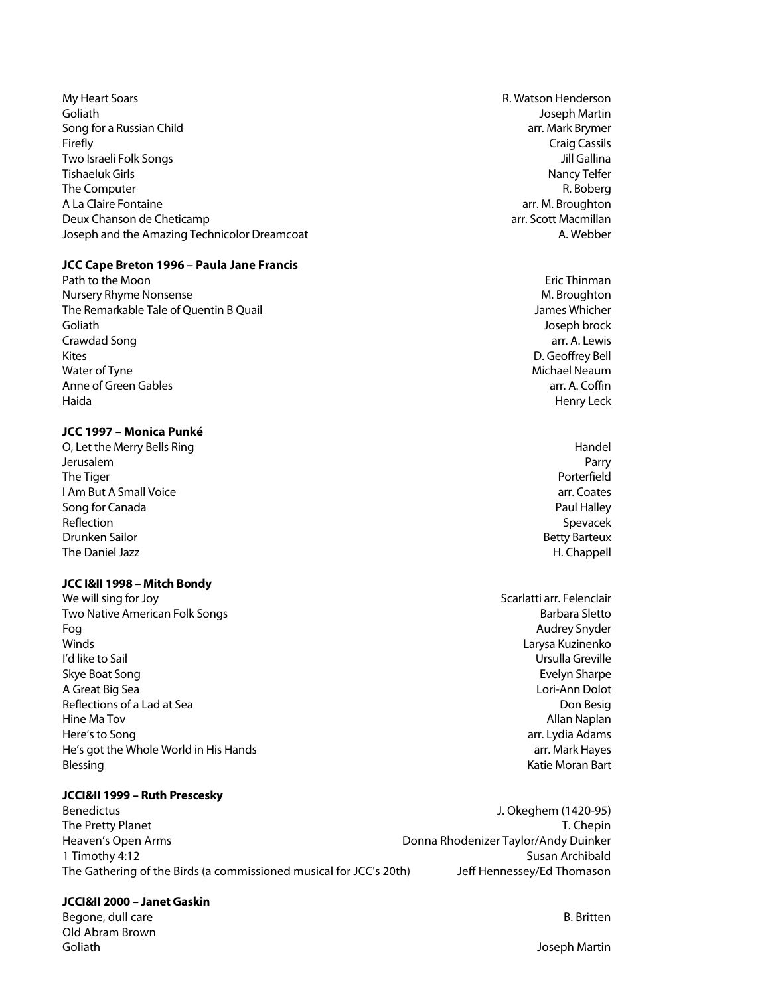My Heart Soars **R. Watson Henderson** Goliath Joseph Martin Song for a Russian Child and The Community of the Community of the Community of the Community of the Community of the Community of the Community of the Community of the Community of the Community of the Community of the Co **Firefly** Craig Cassils **Craig Cassils** Two Israeli Folk Songs Jill Gallina Tishaeluk Girls Nancy Telfer The Computer R. Boberg and the Computer R. Boberg and the Computer R. Boberg and the Computer R. Boberg and the Computer R. Boberg and the Computer R. Boberg and the Computer R. Boberg and the Computer R. Boberg and the Co A La Claire Fontaine arrangement of the state of the state of the state arrangement of the state of the state of the state of the state of the state of the state of the state of the state of the state of the state of the s Deux Chanson de Cheticamp arrest arrest arrest arrest arrest arrest arrest arrest arrest arrest arrest arrest arrest arrest arrest arrest arrest arrest arrest arrest arrest arrest arrest arrest arrest arrest arrest arrest Joseph and the Amazing Technicolor Dreamcoat **A.** Webber A. Webber

#### **JCC Cape Breton 1996 – Paula Jane Francis**

Path to the Moon **Existence Path to the Moon** Eric Thinman Nursery Rhyme Nonsense Management of the Museum of the Museum of the Museum of the Museum of the Museum of the Museum of the Museum of the Museum of the Museum of the Museum of the Museum of the Museum of the Museum of the The Remarkable Tale of Quentin B Quail James Whicher Goliath Joseph brock Crawdad Song arr. A. Lewis and the contract of the contract of the contract of the contract of the contract of the contract of the contract of the contract of the contract of the contract of the contract of the contract of Kites D. Geoffrey Bell Water of Tyne **Michael Neaum** Michael Neaum **Michael Neaum** Michael Neaum **Michael Neaum** Anne of Green Gables arr. A. Coffin Haida Henry Leck

## **JCC 1997 – Monica Punké**

O, Let the Merry Bells Ring Handel Communication and the Merry Bells Ring Handel Jerusalem Parry The Tiger Porterfield **I Am But A Small Voice** arrest arrest arrest arrest arrest arrest arrest arrest arrest arrest arrest arrest arrest arrest arrest arrest arrest arrest arrest arrest arrest arrest arrest arrest arrest arrest arrest arrest a Song for Canada Paul Halley and the Canada Paul Halley and the Paul Halley and the Paul Halley and the Paul Halley Reflection Spevacek Drunken Sailor Betty Barteux The Daniel Jazz **H. Chappell** and the United States of the United States of the United States of the United States of the United States of the United States of the United States of the United States of the United States of

## **JCC I&II 1998 – Mitch Bondy**

We will sing for Joy Scarlatti arr. Felenclair Two Native American Folk Songs Barbara Sletto and The Barbara Sletto Barbara Sletto Fog Audrey Snyder Winds Larysa Kuzinenko I'd like to Sail Ursulla Greville Skye Boat Song Evelyn Sharpe Skye Boat Song Evelyn Sharpe Sharpe Sharpe Sharpe Sharpe Sharpe Sharpe Sharpe Sharpe Sharpe Sharpe Sharpe Sharpe Sharpe Sharpe Sharpe Sharpe Sharpe Sharpe Sharpe Sharpe Sharpe Sharpe Sharpe Sha A Great Big Sea Lori-Ann Dolot Reflections of a Lad at Sea Don Besign and the Sea Don Besign and the Sea Don Besign and the Sea Don Besign and the Sea Don Besign and the Sea Don Besign and the Sea Don Besign and the Sea Don Besign and the Sea Don Besign Hine Ma Tov Allan Naplan Here's to Song arr. Lydia Adams He's got the Whole World in His Hands arrest and the United States are arrest arr. Mark Hayes Blessing **Example 2018** Security 1980 and the United States of the Moran Bart Community 1980 and the Moran Bart Community 1980 and the Moran Bart Community 1980 and the Moran Bart Community 1980 and the Moran Bart Communit

## **JCCI&II 1999 – Ruth Prescesky**

Benedictus J. Okeghem (1420-95) The Pretty Planet The Secret Assembly the Pretty Planet T. Chepin Heaven's Open Arms **Donna Rhodenizer Taylor/Andy Duinker** Donna Rhodenizer Taylor/Andy Duinker 1 Timothy 4:12 Susan Archibald The Gathering of the Birds (a commissioned musical for JCC's 20th) Jeff Hennessey/Ed Thomason

## **JCCI&II 2000 – Janet Gaskin**

Begone, dull care and the B. Britten control of the B. Britten control of the B. Britten control of the B. Britten control of the B. Britten control of the B. Britten control of the B. Britten control of the B. Britten con Old Abram Brown Goliath Joseph Martin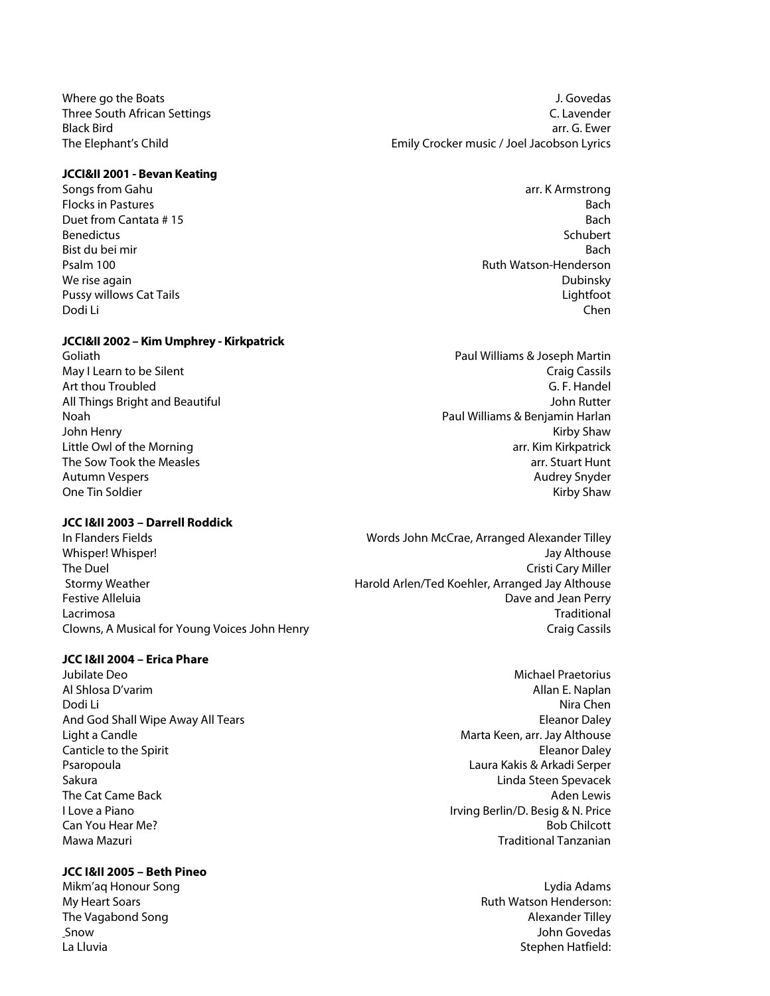## **JCCI&II 2001 - Bevan Keating**

Flocks in Pastures Bach and the Bach and the Bach and the Bach and the Bach and the Bach and the Bach and the Bach Duet from Cantata # 15 Bach<br>
Bach Benedictus Schubert Benedictus Schubert Bist du bei mir Bach and Bach and Bach and Bach and Bach and Bach and Bach and Bach and Bach and Bach and Bach Psalm 100 **Ruth Watson-Henderson** Ruth Watson-Henderson We rise again **Dubinsky** and Dubinsky and Dubinsky and Dubinsky and Dubinsky and Dubinsky and Dubinsky and Dubinsky Pussy willows Cat Tails **Cation Cat Tails** 2008 and 2008 and 2008 and 2008 and 2008 and 2008 and 2008 and 2008 and 2008 and 2008 and 2008 and 2008 and 2008 and 2008 and 2008 and 2008 and 2008 and 2008 and 2008 and 2008 and Dodi Li Chen

## **JCCI&II 2002 – Kim Umphrey - Kirkpatrick**

#### **JCC I&II 2003 – Darrell Roddick**

#### **JCC I&II 2004 – Erica Phare**

Jubilate Deo Michael Praetorius Al Shlosa D'varim Allan E. Naplan Dodi Li Nira Chen And God Shall Wipe Away All Tears **Eleanor Daley Eleanor Daley Eleanor Daley** Light a Candle Marta Keen, arr. Jay Althouse Canticle to the Spirit **Eleanor Daley Canticle to the Spirit** Eleanor Daley Psaropoula Laura Kakis & Arkadi Serper Sakura Linda Steen Spevacek The Cat Came Back Aden Lewis Contract Aden Lewis Contract Aden Lewis Contract Aden Lewis Contract Aden Lewis Contract Aden Lewis I Love a Piano II and Irving Berlin/D. Besig & N. Price **Can You Hear Me?** Bob Chilcott **Can You Hear Me?** Bob Chilcott **Bob Chilcott Bob Chilcott** Mawa Mazuri Traditional Tanzanian

## **JCC I&II 2005 – Beth Pineo**

Where go the Boats **J. Govedas** J. Govedas Three South African Settings C. Lavender Black Bird arr. G. Ewer The Elephant's Child **Emily Crocker music / Joel Jacobson Lyrics** 

Songs from Gahu arr. K Armstrong arr. K Armstrong arr. K Armstrong arr. K Armstrong arr. K Armstrong arr. K Armstrong arr. K Armstrong arr. K Armstrong arr. K Armstrong arr. K Armstrong arr. K Armstrong arr. K Armstrong ar

Goliath Paul Williams & Joseph Martin May I Learn to be Silent Craig Cassils and Craig Cassils and Craig Cassils and Craig Cassils and Craig Cassils Art thou Troubled G. F. Handel All Things Bright and Beautiful John Rutter Noah Paul Williams & Benjamin Harlan John Henry Kirby Shaw Little Owl of the Morning array array array arr. Kim Kirkpatrick The Sow Took the Measles arrival and the Sow Took the Measles arrival arrival arrival arrival arrival arrival arrival arrival arrival arrival arrival arrival arrival arrival arrival arrival arrival arrival arrival arrival Autumn Vespers Audrey Snyder One Tin Soldier **Kirby Shaw** 

In Flanders Fields Words John McCrae, Arranged Alexander Tilley Whisper! Whisper! Jay Althouse The Duel **The Cristi Cary Miller** Cristi Cary Miller Stormy Weather **Harold Arlen/Ted Koehler, Arranged Jay Althouse** Festive Alleluia **Festive Alleluia** Dave and Jean Perry Lacrimosa Traditional Clowns, A Musical for Young Voices John Henry Craig Cassils Craig Cassils Craig Cassils

Mikm'aq Honour Song Lydia Adams My Heart Soars **Ruth Watson Henderson:** Ruth Watson Henderson: The Vagabond Song Alexander Tilley and the Vagabond Song Alexander Tilley Snow **Show John Govedas** Snow John Govedas **Snow John Govedas** Snow John Govedas Snow John Govedas Snow John Govedas Snow John Govedas Snow John Govedas Snow John Govedas Snow John Govedas Snow John Govedas Snow John Goved La Lluvia de la contradicta de la contradicta de la contradicta de la contradicta de la contradicta de la contradicta de la contradicta de la contradicta de la contradicta de la contradicta de la contradicta de la contradi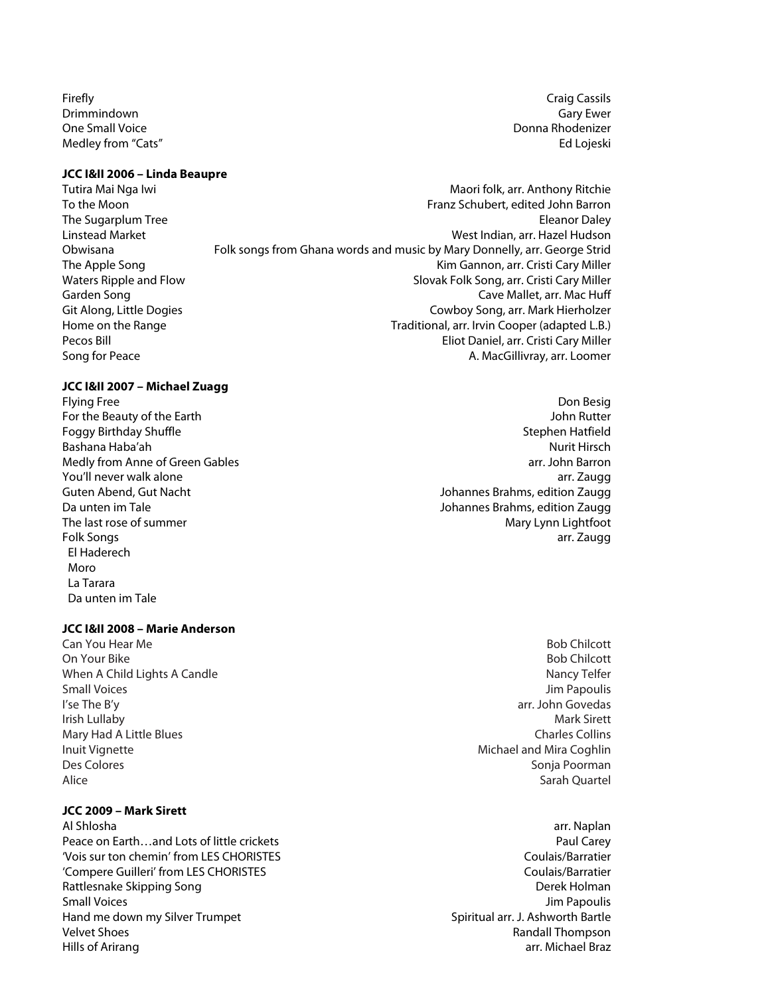**Firefly** Craig Cassils **Craig Cassils** Drimmindown Gary Ewer One Small Voice **Donna Rhodenizer Donna Rhodenizer** Medley from "Cats" and the control of the control of the control of the control of the control of the control of the control of the control of the control of the control of the control of the control of the control of the

#### **JCC I&II 2006 – Linda Beaupre**

- Tutira Mai Nga Iwi Maori folk, arr. Anthony Ritchie
- To the Moon Franz Schubert, edited John Barron The Sugarplum Tree<br>
Linstead Market Nation And The Sugarplum Tree Eleanor Daley<br>
Unit Anation And Market Nation And The Sugar Africa Anation And Mest Indian. arr. Hazel Hudson West Indian, arr. Hazel Hudson Obwisana Folk songs from Ghana words and music by Mary Donnelly, arr. George Strid The Apple Song The Apple Song Kim Gannon, arr. Cristi Cary Miller Waters Ripple and Flow Slovak Folk Song, arr. Cristi Cary Miller Garden Song Cave Mallet, arr. Mac Huff Git Along, Little Dogies Cowboy Song, arr. Mark Hierholzer Home on the Range Traditional, arr. Irvin Cooper (adapted L.B.) Pecos Bill Eliot Daniel, arr. Cristi Cary Miller Song for Peace **A. MacGillivray, arr. Loomer** A. MacGillivray, arr. Loomer

## **JCC I&II 2007 – Michael Zuagg**

For the Beauty of the Earth John Rutter Foggy Birthday Shuffle Stephen Hatfield Bashana Haba'ah Nurit Hirsch Nurit Hirsch Nurit Hirsch Nurit Hirsch Nurit Hirsch Nurit Hirsch Nurit Hirsch Nurit Hirsch Nurit Hirsch Nurit Hirsch Nurit Hirsch Nurit Hirsch Nurit Hirsch Nurit Hirsch Nurit Hirsch Nurit Hirsc Medly from Anne of Green Gables arr. John Barron You'll never walk alone arr. Zaugg Guten Abend, Gut Nacht Johannes Brahms, edition Zaugg Da unten im Tale Johannes Brahms, edition Zaugg The last rose of summer Mary Lynn Lightfoot and Mary Lynn Lightfoot Folk Songs arr. Zaugg El Haderech Moro La Tarara Da unten im Tale

#### **JCC I&II 2008 – Marie Anderson**

**Can You Hear Me** Bob Chilcott **Can You Hear Me** Bob Chilcott **Can You Hear Me** Bob Chilcott **Can You Hear Me** Bob Chilcott On Your Bike Bob Chilcott **Bob Chilcott** When A Child Lights A Candle Nancy Telfer Nancy Telfer Small Voices **Small Voices** Jim Papoulis **Jim Papoulis** Jim Papoulis **Jim Papoulis** I'se The B'y arr. John Govedas **Irish Lullaby** Mark Sirett **Mark Sirett Mark Sirett** Mary Had A Little Blues<br>
1991 Inuit Vianette<br>
Michael and Mira Coghlin Des Colores Sonja Poorman (Colores Sonja Poorman (Colores Sonja Poorman (Colores Sonja Poorman (Colores Sonja Poorman (Colores Sonja Poorman (Colores Sonja Poorman (Colores Sonja Poorman (Colores Sonja Poorman (Colores Son Alice Sarah Quartel and Sarah Quartel and Sarah Quartel and Sarah Quartel and Sarah Quartel and Sarah Quartel

## **JCC 2009 – Mark Sirett**

Al Shlosha arr. Naplan Peace on Earth…and Lots of little crickets **Paul Carey** Paul Carey Paul Carey 'Vois sur ton chemin' from LES CHORISTES Coulais/Barratier 'Compere Guilleri' from LES CHORISTES Coulais/Barratier Rattlesnake Skipping Song Derek Holman and Derek Holman and Derek Holman and Derek Holman and Derek Holman and Derek Holman and Derek Holman and Derek Holman and Derek Holman and Derek Holman and Derek Holman and Derek Hol Small Voices **Jim Papoulis** Hand me down my Silver Trumpet **Spiritual arr. J. Ashworth Bartle** Spiritual arr. J. Ashworth Bartle Velvet Shoes Randall Thompson Hills of Arirang arr. Michael Braz

Flying Free Don Besig

- Michael and Mira Coghlin
-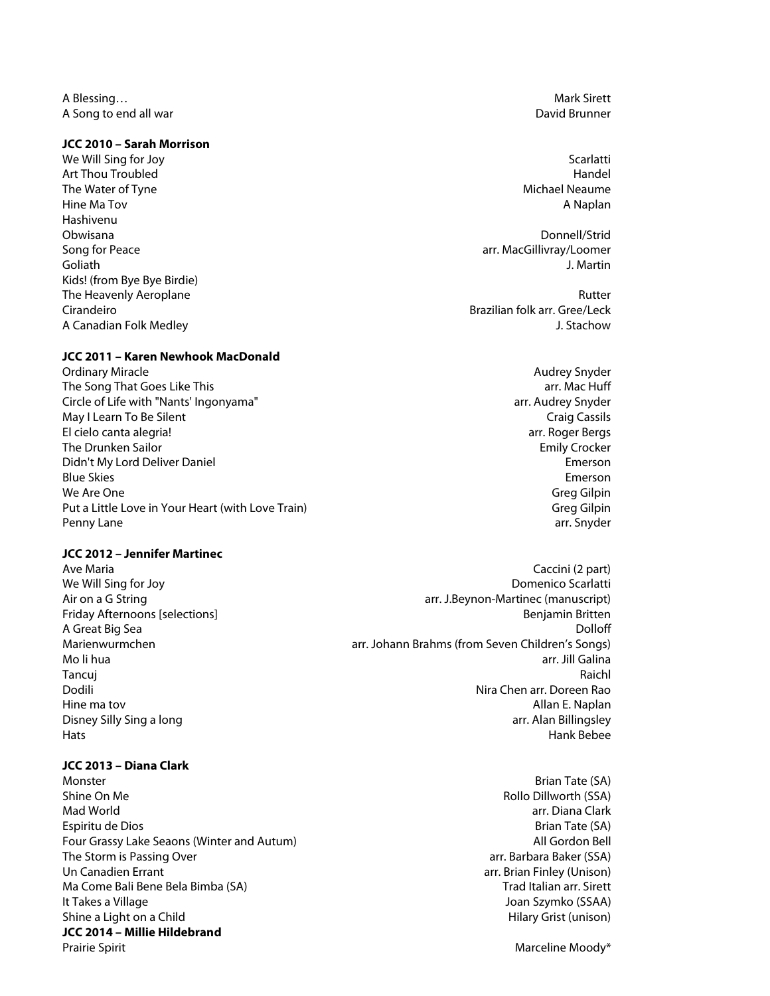A Blessing… Mark Sirett Natural A Blessing… Mark Sirett Natural A Blessing… Mark Sirett Natural A Blessing… Mark Sirett Natural A Blessing… Natural A Blessing… Natural A Blessing… Natural A Blessing… Natural A Blessing… Na A Song to end all war **David Brunner** Constants and the David Brunner Constants and David Brunner

#### **JCC 2010 – Sarah Morrison**

We Will Sing for Joy Scarlatti and the United States of the United States of the Scarlatti and Scarlatti and Scarlatti and Scarlatti and Scarlatti and Scarlatti and Scarlatti and Scarlatti and Scarlatti and Scarlatti and S Art Thou Troubled **Handel** Handel Handel Handel Handel Handel Handel Handel Handel Handel Handel Handel Handel Handel Handel Handel Handel Handel Handel Handel Handel Handel Handel Handel Handel Handel Handel Handel Handel The Water of Tyne Michael Neaume and The Water of Tyne Michael Neaume and The Water of Tyne Michael Neaume and The Michael Neaume and The Michael Neaume and The Michael Neaume and The Michael Neaume and The Michael Neaume Hine Ma Tov A Naplan Hashivenu Obwisana Donnell/Strid Song for Peace arrangement of the state arrangement of the state arrangement of the state arr. MacGillivray/Loomer Goliath J. Martin Kids! (from Bye Bye Birdie) The Heavenly Aeroplane **Rutter** Rutter **Rutter Rutter Rutter Rutter** 

## **JCC 2011 – Karen Newhook MacDonald**

Ordinary Miracle **Audrey Snyder** Controllering Snyder Audrey Snyder Audrey Snyder The Song That Goes Like This arrival and the Song That Goes Like This arrival arrival arrival arrival arrival arrival arrival arrival arrival arrival arrival arrival arrival arrival arrival arrival arrival arrival arrival Circle of Life with "Nants' Ingonyama" arr. Audrey Snyder May I Learn To Be Silent Craig Cassils Craig Cassils El cielo canta alegria! arr. Roger Bergs The Drunken Sailor **Emily Crocker** Emily Crocker Didn't My Lord Deliver Daniel Emerson Blue Skies Emerson We Are One Greg Gilpin and the Greg Gilpin and the Greg Gilpin and the Greg Gilpin and the Greg Gilpin and the Greg Gilpin and the Greg Gilpin and the Greg Gilpin and the Greg Gilpin and the Greg Gilpin and the Greg Gilpin Put a Little Love in Your Heart (with Love Train) Communication of the Communication of Greg Gilpin Penny Lane arr. Snyder

# **JCC 2012 – Jennifer Martinec**

#### **JCC 2013 – Diana Clark**

Monster Brian Tate (SA) Shine On Me **Rollo Dillworth (SSA)** and the Control of the Control of the Rollo Dillworth (SSA) Mad World arr. Diana Clark Espiritu de Dios and Santa Tate (SA) and Tate (SA) and Tate (SA) and Tate (SA) and Tate (SA) and Tate (SA) and Tate (SA) and Tate (SA) and Tate (SA) and Tate (SA) and Tate (SA) and Tate (SA) and Tate (SA) and Tate (SA) and Four Grassy Lake Seaons (Winter and Autum) and Autum and Autum All Gordon Bell Gordon Bell The Storm is Passing Over and the Storm is Passing Over arr. Barbara Baker (SSA) Un Canadien Errant arrangement arrangement arrangement arrangement arrangement arrangement arrangement arrangement arrangement arrangement arrangement arrangement arrangement arrangement arrangement arrangement arrangement Ma Come Bali Bene Bela Bimba (SA) New York Come Said Trad Italian arr. Sirett It Takes a Village Joan Szymko (SSAA) and the Unit of the Unit of the Unit of the Unit of the Unit of the Unit Shine a Light on a Child Hilary Grist (unison) and the state of the Hilary Grist (unison) **JCC 2014 – Millie Hildebrand** Prairie Spirit **Marceline Moody\* Marceline Moody\* Marceline Moody\* Marceline Moody\*** 

Cirandeiro Brazilian folk arr. Gree/Leck A Canadian Folk Medley J. Stachow

- Ave Maria Caccini (2 part) and the Maria Caccini (2 part) and the Caccini (2 part) can call the Caccini (2 part) We Will Sing for Joy **Domenico Scarlatti** Air on a G String and String arr. J.Beynon-Martinec (manuscript) Friday Afternoons [selections] **Benjamin Britten** Benjamin Britten **Benjamin Britten** A Great Big Sea **Dolloff** Marienwurmchen arr. Johann Brahms (from Seven Children's Songs) Mo li hua arr. Jill Galina Tancuj Raichl Dodili Nira Chen arr. Doreen Rao Hine ma tov **Allan E. Naplan** Disney Silly Sing a long and the state of the state of the state of the state of the state of the state of the state of the state of the state of the state of the state of the state of the state of the state of the state o Hats Hank Bebee
	-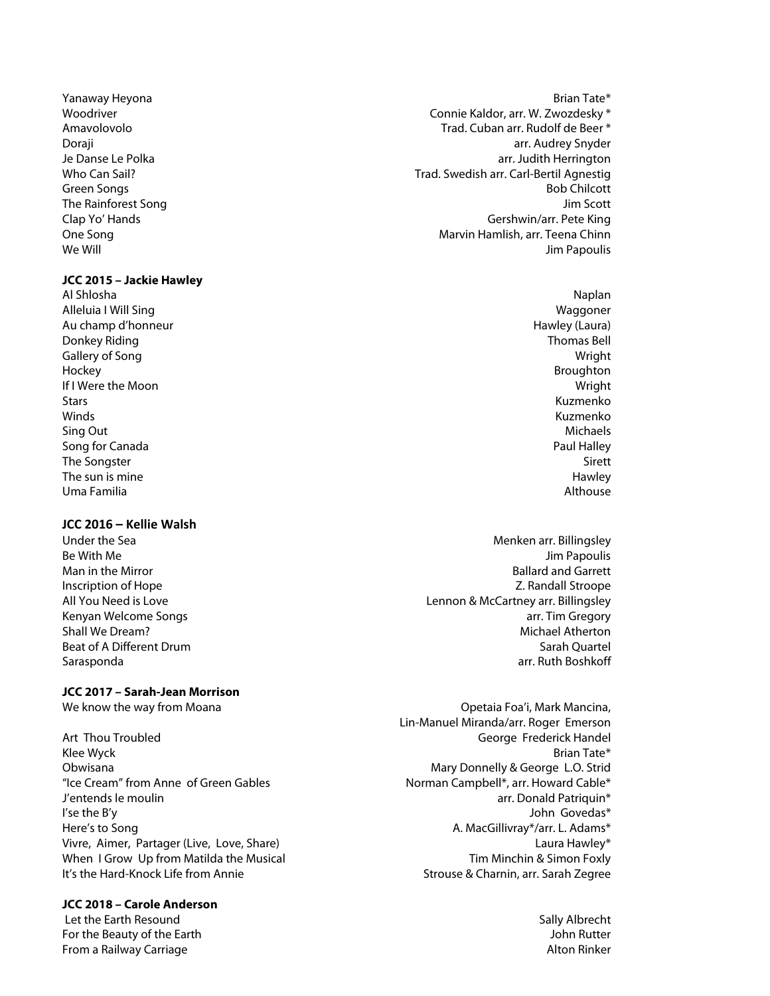#### **JCC 2015 – Jackie Hawley**

Al Shlosha Naplan Alleluia I Will Sing November 2012 12:00 November 2013 12:00 November 2013 12:00 November 2013 12:00 November 2013 Au champ d'honneur en environneur de la champ de la champ de la champ de la champ de la champ de la champ de l Donkey Riding Thomas Bell and the United States of the United States of the United States of the United States of the United States of the United States of the United States of the United States of the United States of the Gallery of Song Wright Hockey Broughton If I Were the Moon Wright Stars Kuzmenko winds **Mathematic Community (Winds** Section 2014) and the community of the community of the community of the comm Sing Out Michaels Song for Canada **Paul Halley Paul Halley Paul Halley** The Songster Sirett Communication of the Songster Sirett Communication of the Songster Sirett Communication of the Sirett Communication of the Sirett Communication of the Sirett Communication of the Sirett Communication of The sun is mine **Hawley The sun is mine** Hawley **Hawley** Uma Familia Althouse

#### **JCC 2016 – Kellie Walsh**

# **JCC 2017 – Sarah-Jean Morrison**

Art Thou Troubled George Frederick Handel Klee Wyck Brian Tate\* Obwisana Mary Donnelly & George L.O. Strid "Ice Cream" from Anne of Green Gables Norman Campbell\*, arr. Howard Cable\* J'entends le moulin arr. Donald Patriquin\* I'se the B'y John Govedas\* Here's to Song **A. MacGillivray\*/arr. L. Adams**\* Vivre, Aimer, Partager (Live, Love, Share) and the state of the control of the laura Hawley\* When I Grow Up from Matilda the Musical Tim Minchin & Simon Foxly It's the Hard-Knock Life from Annie Strouse & Charnin, arr. Sarah Zegree

#### **JCC 2018 – Carole Anderson**

Let the Earth Resound Sally Albrecht (Sally Albrecht (Sally Albrecht (Sally Albrecht (Sally Albrecht (Sally A<br>Sally Albrecht (Sally Albrecht (Sally Albrecht (Sally Albrecht (Sally Albrecht (Sally Albrecht (Sally Albrech For the Beauty of the Earth **From a Railway Carriage Alton Rinker** Alton Rinker Alton Rinker Alton Rinker Alton Rinker

- Yanaway Heyona Brian Tate\* Woodriver Connie Kaldor, arr. W. Zwozdesky \* Amavolovolo **Trad. Cuban arr. Rudolf de Beer** \* Doraji arr. Audrey Snyder Je Danse Le Polka arr. Judith Herrington Who Can Sail? Trad. Swedish arr. Carl-Bertil Agnestig Green Songs Bob Chilcott (Separate Songs Bob Chilcott (Separate Songs Bob Chilcott (Separate Songs Bob Chilcott The Rainforest Song Jim Scott Clap Yo' Hands Gershwin/arr. Pete King One Song Marvin Hamlish, arr. Teena Chinn We Will **Solution Contract Contract Contract Contract Contract Contract Contract Contract Contract Contract Contract Contract Contract Contract Contract Contract Contract Contract Contract Contract Contract Contract Contra** 
	-
- Under the Sea Menken arr. Billingsley Be With Me Jim Papoulis and the United States of the United States of the United States of the United States of the United States of the United States of the United States of the United States of the United States of the U Man in the Mirror **Ballard and Garrett** Inscription of Hope Z. Randall Stroope All You Need is Love Lennon & McCartney arr. Billingsley Kenyan Welcome Songs arranges are also as a series are also are a series and the series are a series are also s Shall We Dream? Michael Atherton Beat of A Different Drum Sarah Quartel Sarasponda arr. Ruth Boshkoff and Sarasponda arr. Ruth Boshkoff and Sarasponda arr. Ruth Boshkoff and Sarasponda

We know the way from Moana **Operation Controllering** Controllering, Opetaia Foa'i, Mark Mancina, Lin-Manuel Miranda/arr. Roger Emerson